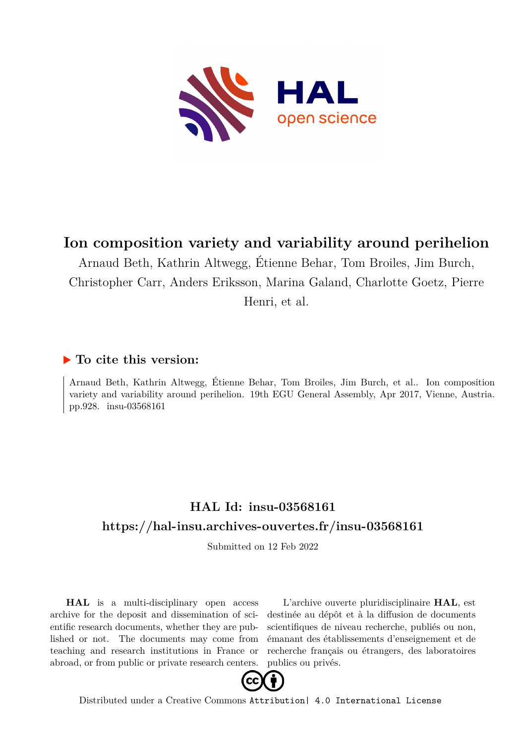

## **Ion composition variety and variability around perihelion**

Arnaud Beth, Kathrin Altwegg, Étienne Behar, Tom Broiles, Jim Burch, Christopher Carr, Anders Eriksson, Marina Galand, Charlotte Goetz, Pierre

Henri, et al.

## **To cite this version:**

Arnaud Beth, Kathrin Altwegg, Étienne Behar, Tom Broiles, Jim Burch, et al.. Ion composition variety and variability around perihelion. 19th EGU General Assembly, Apr 2017, Vienne, Austria. pp.928. insu-03568161

## **HAL Id: insu-03568161 <https://hal-insu.archives-ouvertes.fr/insu-03568161>**

Submitted on 12 Feb 2022

**HAL** is a multi-disciplinary open access archive for the deposit and dissemination of scientific research documents, whether they are published or not. The documents may come from teaching and research institutions in France or abroad, or from public or private research centers.

L'archive ouverte pluridisciplinaire **HAL**, est destinée au dépôt et à la diffusion de documents scientifiques de niveau recherche, publiés ou non, émanant des établissements d'enseignement et de recherche français ou étrangers, des laboratoires publics ou privés.



Distributed under a Creative Commons [Attribution| 4.0 International License](http://creativecommons.org/licenses/by/4.0/)